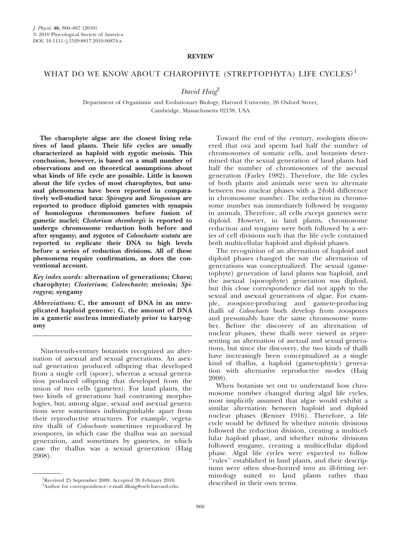## REVIEW

## WHAT DO WE KNOW ABOUT CHAROPHYTE (STREPTOPHYTA) LIFE CYCLES?<sup>1</sup>

## David Haig<sup>2</sup>

Department of Organismic and Evolutionary Biology, Harvard University, 26 Oxford Street, Cambridge, Massachusetts 02138, USA

The charophyte algae are the closest living relatives of land plants. Their life cycles are usually characterized as haploid with zygotic meiosis. This conclusion, however, is based on a small number of observations and on theoretical assumptions about what kinds of life cycle are possible. Little is known about the life cycles of most charophytes, but unusual phenomena have been reported in comparatively well-studied taxa: Spirogyra and Sirogonium are reported to produce diploid gametes with synapsis of homologous chromosomes before fusion of gametic nuclei; Closterium ehrenbergii is reported to undergo chromosome reduction both before and after syngamy; and zygotes of Coleochaete scutata are reported to replicate their DNA to high levels before a series of reduction divisions. All of these phenomena require confirmation, as does the conventional account.

Key index words: alternation of generations; Chara; charophyte; Closterium; Coleochaete; meiosis; Spirogyra; syngamy

Abbreviations: C, the amount of DNA in an unreplicated haploid genome; G, the amount of DNA in a gametic nucleus immediately prior to karyogamy

Nineteenth-century botanists recognized an alternation of asexual and sexual generations. An asexual generation produced offspring that developed from a single cell (spore), whereas a sexual generation produced offspring that developed from the union of two cells (gametes). For land plants, the two kinds of generations had contrasting morphologies, but, among algae, sexual and asexual generations were sometimes indistinguishable apart from their reproductive structures. For example, vegetative thalli of Coleochaete sometimes reproduced by zoospores, in which case the thallus was an asexual generation, and sometimes by gametes, in which case the thallus was a sexual generation (Haig 2008).

Toward the end of the century, zoologists discovered that ova and sperm had half the number of chromosomes of somatic cells, and botanists determined that the sexual generation of land plants had half the number of chromosomes of the asexual generation (Farley 1982). Therefore, the life cycles of both plants and animals were seen to alternate between two nuclear phases with a 2-fold difference in chromosome number. The reduction in chromosome number was immediately followed by syngamy in animals. Therefore, all cells except gametes were diploid. However, in land plants, chromosome reduction and syngamy were both followed by a series of cell divisions such that the life cycle contained both multicellular haploid and diploid phases.

The recognition of an alternation of haploid and diploid phases changed the way the alternation of generations was conceptualized. The sexual (gametophyte) generation of land plants was haploid, and the asexual (sporophyte) generation was diploid, but this close correspondence did not apply to the sexual and asexual generations of algae. For example, zoospore-producing and gamete-producing thalli of Coleochaete both develop from zoospores and presumably have the same chromosome number. Before the discovery of an alternation of nuclear phases, these thalli were viewed as representing an alternation of asexual and sexual generations, but since the discovery, the two kinds of thalli have increasingly been conceptualized as a single kind of thallus, a haploid (gametophytic) generation with alternative reproductive modes (Haig 2008).

When botanists set out to understand how chromosome number changed during algal life cycles, most implicitly assumed that algae would exhibit a similar alternation between haploid and diploid nuclear phases (Renner 1916). Therefore, a life cycle would be defined by whether mitotic divisions followed the reduction division, creating a multicellular haploid phase, and whether mitotic divisions followed syngamy, creating a multicellular diploid phase. Algal life cycles were expected to follow ''rules'' established in land plants, and their descriptions were often shoe-horned into an ill-fitting terminology suited to land plants rather than

Received 25 September 2009. Accepted 26 February 2010.<br>
<sup>2</sup>Author for correspondence: e-mail dhaig@oeb baryard edu described in their own terms.

<sup>&</sup>lt;sup>2</sup>Author for correspondence: e-mail dhaig@oeb.harvard.edu.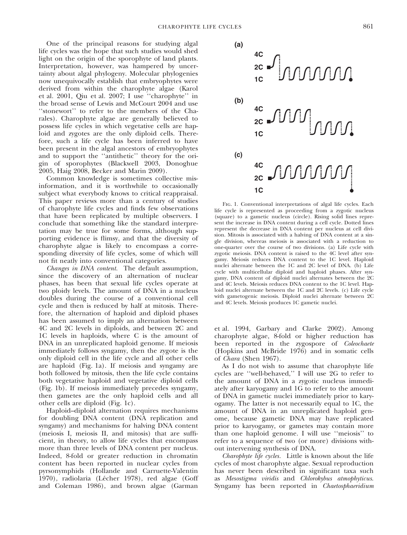One of the principal reasons for studying algal life cycles was the hope that such studies would shed light on the origin of the sporophyte of land plants. Interpretation, however, was hampered by uncertainty about algal phylogeny. Molecular phylogenies now unequivocally establish that embryophytes were derived from within the charophyte algae (Karol et al. 2001, Qiu et al. 2007; I use ''charophyte'' in the broad sense of Lewis and McCourt 2004 and use ''stonewort'' to refer to the members of the Charales). Charophyte algae are generally believed to possess life cycles in which vegetative cells are haploid and zygotes are the only diploid cells. Therefore, such a life cycle has been inferred to have been present in the algal ancestors of embryophytes and to support the ''antithetic'' theory for the origin of sporophytes (Blackwell 2003, Donoghue 2005, Haig 2008, Becker and Marin 2009).

Common knowledge is sometimes collective misinformation, and it is worthwhile to occasionally subject what everybody knows to critical reappraisal. This paper reviews more than a century of studies of charophyte life cycles and finds few observations that have been replicated by multiple observers. I conclude that something like the standard interpretation may be true for some forms, although supporting evidence is flimsy, and that the diversity of charophyte algae is likely to encompass a corresponding diversity of life cycles, some of which will not fit neatly into conventional categories.

Changes in DNA content. The default assumption, since the discovery of an alternation of nuclear phases, has been that sexual life cycles operate at two ploidy levels. The amount of DNA in a nucleus doubles during the course of a conventional cell cycle and then is reduced by half at mitosis. Therefore, the alternation of haploid and diploid phases has been assumed to imply an alternation between 4C and 2C levels in diploids, and between 2C and 1C levels in haploids, where C is the amount of DNA in an unreplicated haploid genome. If meiosis immediately follows syngamy, then the zygote is the only diploid cell in the life cycle and all other cells are haploid (Fig. 1a). If meiosis and syngamy are both followed by mitosis, then the life cycle contains both vegetative haploid and vegetative diploid cells (Fig. 1b). If meiosis immediately precedes syngamy, then gametes are the only haploid cells and all other cells are diploid (Fig. 1c).

Haploid–diploid alternation requires mechanisms for doubling DNA content (DNA replication and syngamy) and mechanisms for halving DNA content (meiosis I, meiosis II, and mitosis) that are sufficient, in theory, to allow life cycles that encompass more than three levels of DNA content per nucleus. Indeed, 8-fold or greater reduction in chromatin content has been reported in nuclear cycles from pyrsonymphids (Hollande and Carruette-Valentin 1970), radiolaria (Lécher 1978), red algae (Goff and Coleman 1986), and brown algae (Garman



Fig. 1. Conventional interpretations of algal life cycles. Each life cycle is represented as proceeding from a zygotic nucleus (square) to a gametic nucleus (circle). Rising solid lines represent the increase in DNA content during a cell cycle. Dotted lines represent the decrease in DNA content per nucleus at cell division. Mitosis is associated with a halving of DNA content at a single division, whereas meiosis is associated with a reduction to one-quarter over the course of two divisions. (a) Life cycle with zygotic meiosis. DNA content is raised to the 4C level after syngamy. Meiosis reduces DNA content to the 1C level. Haploid nuclei alternate between the 1C and 2C level of DNA. (b) Life cycle with multicellular diploid and haploid phases. After syngamy, DNA content of diploid nuclei alternates between the 2C and 4C levels. Meiosis reduces DNA content to the 1C level. Haploid nuclei alternate between the 1C and 2C levels. (c) Life cycle with gametogenic meiosis. Diploid nuclei alternate between 2C and 4C levels. Meiosis produces 1C gametic nuclei.

et al. 1994, Garbary and Clarke 2002). Among charophyte algae, 8-fold or higher reduction has been reported in the zygospore of *Coleochaete* (Hopkins and McBride 1976) and in somatic cells of Chara (Shen 1967).

As I do not wish to assume that charophyte life cycles are ''well-behaved,'' I will use 2G to refer to the amount of DNA in a zygotic nucleus immediately after karyogamy and 1G to refer to the amount of DNA in gametic nuclei immediately prior to karyogamy. The latter is not necessarily equal to 1C, the amount of DNA in an unreplicated haploid genome, because gametic DNA may have replicated prior to karyogamy, or gametes may contain more than one haploid genome. I will use ''meiosis'' to refer to a sequence of two (or more) divisions without intervening synthesis of DNA.

Charophyte life cycles. Little is known about the life cycles of most charophyte algae. Sexual reproduction has never been described in significant taxa such as Mesostigma viridis and Chlorokybus atmophyticus. Syngamy has been reported in Chaetosphaeridium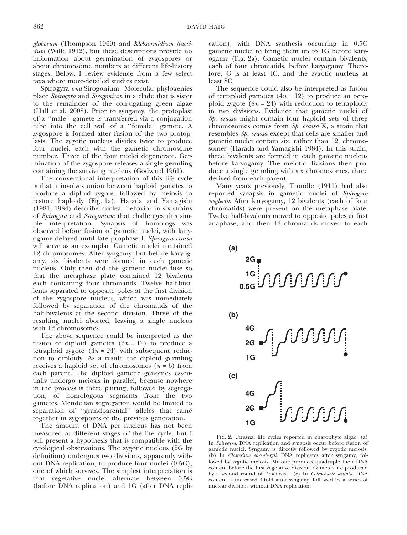globosum (Thompson 1969) and Klebsormidium flaccidum (Wille 1912), but these descriptions provide no information about germination of zygospores or about chromosome numbers at different life-history stages. Below, I review evidence from a few select taxa where more-detailed studies exist.

Spirogyra and Sirogonium: Molecular phylogenies place Spirogyra and Sirogonium in a clade that is sister to the remainder of the conjugating green algae (Hall et al. 2008). Prior to syngamy, the protoplast of a ''male'' gamete is transferred via a conjugation tube into the cell wall of a ''female'' gamete. A zygospore is formed after fusion of the two protoplasts. The zygotic nucleus divides twice to produce four nuclei, each with the gametic chromosome number. Three of the four nuclei degenerate. Germination of the zygospore releases a single germling containing the surviving nucleus (Godward 1961).

The conventional interpretation of this life cycle is that it involves union between haploid gametes to produce a diploid zygote, followed by meiosis to restore haploidy (Fig. 1a). Harada and Yamagishi (1981, 1984) describe nuclear behavior in six strains of Spirogyra and Sirogonium that challenges this simple interpretation. Synapsis of homologs was observed before fusion of gametic nuclei, with karyogamy delayed until late prophase I. Spirogyra crassa will serve as an exemplar. Gametic nuclei contained 12 chromosomes. After syngamy, but before karyogamy, six bivalents were formed in each gametic nucleus. Only then did the gametic nuclei fuse so that the metaphase plate contained 12 bivalents each containing four chromatids. Twelve half-bivalents separated to opposite poles at the first division of the zygospore nucleus, which was immediately followed by separation of the chromatids of the half-bivalents at the second division. Three of the resulting nuclei aborted, leaving a single nucleus with 12 chromosomes.

The above sequence could be interpreted as the fusion of diploid gametes  $(2n = 12)$  to produce a tetraploid zygote  $(4n = 24)$  with subsequent reduction to diploidy. As a result, the diploid germling receives a haploid set of chromosomes  $(n = 6)$  from each parent. The diploid gametic genomes essentially undergo meiosis in parallel, because nowhere in the process is there pairing, followed by segregation, of homologous segments from the two gametes. Mendelian segregation would be limited to separation of ''grandparental'' alleles that came together in zygospores of the previous generation.

The amount of DNA per nucleus has not been measured at different stages of the life cycle, but I will present a hypothesis that is compatible with the cytological observations. The zygotic nucleus (2G by definition) undergoes two divisions, apparently without DNA replication, to produce four nuclei (0.5G), one of which survives. The simplest interpretation is that vegetative nuclei alternate between 0.5G (before DNA replication) and 1G (after DNA replication), with DNA synthesis occurring in 0.5G gametic nuclei to bring them up to 1G before karyogamy (Fig. 2a). Gametic nuclei contain bivalents, each of four chromatids, before karyogamy. Therefore, G is at least 4C, and the zygotic nucleus at least 8C.

The sequence could also be interpreted as fusion of tetraploid gametes  $(4n = 12)$  to produce an octoploid zygote  $(8n = 24)$  with reduction to tetraploidy in two divisions. Evidence that gametic nuclei of Sp. crassa might contain four haploid sets of three chromosomes comes from Sp. crassa X, a strain that resembles Sp. crassa except that cells are smaller and gametic nuclei contain six, rather than 12, chromosomes (Harada and Yamagishi 1984). In this strain, three bivalents are formed in each gametic nucleus before karyogamy. The meiotic divisions then produce a single germling with six chromosomes, three derived from each parent.

Many years previously, Tröndle (1911) had also reported synapsis in gametic nuclei of Spirogyra neglecta. After karyogamy, 12 bivalents (each of four chromatids) were present on the metaphase plate. Twelve half-bivalents moved to opposite poles at first anaphase, and then 12 chromatids moved to each



Fig. 2. Unusual life cycles reported in charophyte algae. (a) In Spirogyra, DNA replication and synapsis occur before fusion of gametic nuclei. Syngamy is directly followed by zygotic meiosis. (b) In Closterium ehrenbergii, DNA replicates after syngamy, followed by zygotic meiosis. Meiotic products quadruple their DNA content before the first vegetative division. Gametes are produced by a second round of "meiosis." (c) In *Coleochaete scutata*, DNA content is increased 4-fold after syngamy, followed by a series of nuclear divisions without DNA replication.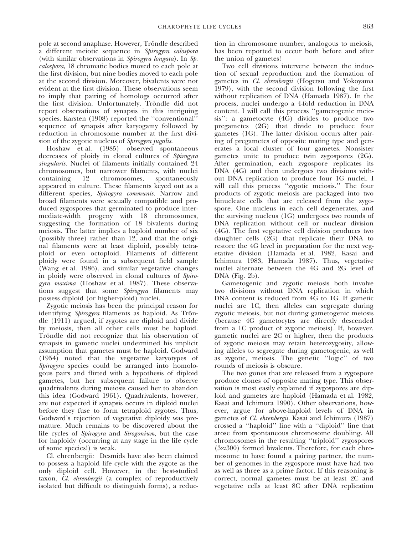pole at second anaphase. However, Tröndle described a different meiotic sequence in Spirogyra calospora (with similar observations in Spirogyra longata). In Sp. calospora, 18 chromatic bodies moved to each pole at the first division, but nine bodies moved to each pole at the second division. Moreover, bivalents were not evident at the first division. These observations seem to imply that pairing of homologs occurred after the first division. Unfortunately, Tröndle did not report observations of synapsis in this intriguing species. Karsten (1908) reported the "conventional" sequence of synapsis after karyogamy followed by reduction in chromosome number at the first division of the zygotic nucleus of Spirogyra jugalis.

Hoshaw et al. (1985) observed spontaneous decreases of ploidy in clonal cultures of Spirogyra singularis. Nuclei of filaments initially contained 24 chromosomes, but narrower filaments, with nuclei containing 12 chromosomes, spontaneously appeared in culture. These filaments keyed out as a different species, *Spirogyra communis*. Narrow and broad filaments were sexually compatible and produced zygospores that germinated to produce intermediate-width progeny with 18 chromosomes, suggesting the formation of 18 bivalents during meiosis. The latter implies a haploid number of six (possibly three) rather than 12, and that the original filaments were at least diploid, possibly tetraploid or even octoploid. Filaments of different ploidy were found in a subsequent field sample (Wang et al. 1986), and similar vegetative changes in ploidy were observed in clonal cultures of Spirogyra maxima (Hoshaw et al. 1987). These observations suggest that some Spirogyra filaments may possess diploid (or higher-ploid) nuclei.

Zygotic meiosis has been the principal reason for identifying *Spirogyra* filaments as haploid. As Tröndle (1911) argued, if zygotes are diploid and divide by meiosis, then all other cells must be haploid. Tröndle did not recognize that his observation of synapsis in gametic nuclei undermined his implicit assumption that gametes must be haploid. Godward (1954) noted that the vegetative karyotypes of Spirogyra species could be arranged into homologous pairs and flirted with a hypothesis of diploid gametes, but her subsequent failure to observe quadrivalents during meiosis caused her to abandon this idea (Godward 1961). Quadrivalents, however, are not expected if synapsis occurs in diploid nuclei before they fuse to form tetraploid zygotes. Thus, Godward's rejection of vegetative diploidy was premature. Much remains to be discovered about the life cycles of Spirogyra and Sirogonium, but the case for haploidy (occurring at any stage in the life cycle of some species!) is weak.

Cl. ehrenbergii: Desmids have also been claimed to possess a haploid life cycle with the zygote as the only diploid cell. However, in the best-studied taxon, Cl. ehrenbergii (a complex of reproductively isolated but difficult to distinguish forms), a reduction in chromosome number, analogous to meiosis, has been reported to occur both before and after the union of gametes!

Two cell divisions intervene between the induction of sexual reproduction and the formation of gametes in Cl. ehrenbergii (Hogetsu and Yokoyama 1979), with the second division following the first without replication of DNA (Hamada 1987). In the process, nuclei undergo a 4-fold reduction in DNA content. I will call this process ''gametogenic meiosis'': a gametocyte (4G) divides to produce two pregametes (2G) that divide to produce four gametes (1G). The latter division occurs after pairing of pregametes of opposite mating type and generates a local cluster of four gametes. Nonsister gametes unite to produce twin zygospores (2G). After germination, each zygospore replicates its DNA (4G) and then undergoes two divisions without DNA replication to produce four 1G nuclei. I will call this process ''zygotic meiosis.'' The four products of zygotic meiosis are packaged into two binucleate cells that are released from the zygospore. One nucleus in each cell degenerates, and the surviving nucleus (1G) undergoes two rounds of DNA replication without cell or nuclear division (4G). The first vegetative cell division produces two daughter cells (2G) that replicate their DNA to restore the 4G level in preparation for the next vegetative division (Hamada et al. 1982, Kasai and Ichimura 1983, Hamada 1987). Thus, vegetative nuclei alternate between the 4G and 2G level of DNA (Fig. 2b).

Gametogenic and zygotic meiosis both involve two divisions without DNA replication in which DNA content is reduced from 4G to 1G. If gametic nuclei are 1C, then alleles can segregate during zygotic meiosis, but not during gametogenic meiosis (because 4G gametocytes are directly descended from a 1C product of zygotic meiosis). If, however, gametic nuclei are 2C or higher, then the products of zygotic meiosis may retain heterozygosity, allowing alleles to segregate during gametogenic, as well as zygotic, meiosis. The genetic ''logic'' of two rounds of meiosis is obscure.

The two gones that are released from a zygospore produce clones of opposite mating type. This observation is most easily explained if zygospores are diploid and gametes are haploid (Hamada et al. 1982, Kasai and Ichimura 1990). Other observations, however, argue for above-haploid levels of DNA in gametes of Cl. ehrenbergii. Kasai and Ichimura (1987) crossed a ''haploid'' line with a ''diploid'' line that arose from spontaneous chromosome doubling. All chromosomes in the resulting ''triploid'' zygospores  $(3 \approx 300)$  formed bivalents. Therefore, for each chromosome to have found a pairing partner, the number of genomes in the zygospore must have had two as well as three as a prime factor. If this reasoning is correct, normal gametes must be at least 2C and vegetative cells at least 8C after DNA replication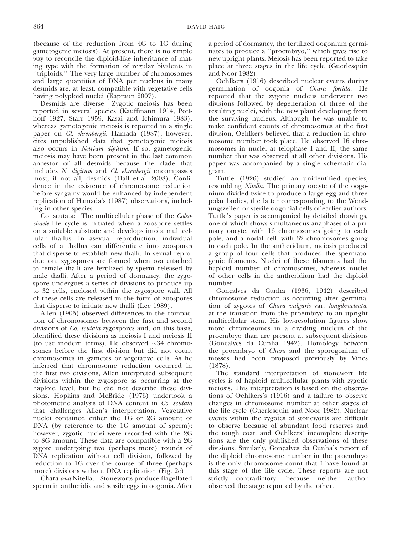(because of the reduction from 4G to 1G during gametogenic meiosis). At present, there is no simple way to reconcile the diploid-like inheritance of mating type with the formation of regular bivalents in ''triploids.'' The very large number of chromosomes and large quantities of DNA per nucleus in many desmids are, at least, compatible with vegetative cells having polyploid nuclei (Kapraun 2007).

Desmids are diverse. Zygotic meiosis has been reported in several species (Kauffmann 1914, Potthoff 1927, Starr 1959, Kasai and Ichimura 1983), whereas gametogenic meiosis is reported in a single paper on Cl. ehrenbergii. Hamada (1987), however, cites unpublished data that gametogenic meiosis also occurs in Netrium digitum. If so, gametogenic meiosis may have been present in the last common ancestor of all desmids because the clade that includes N. digitum and Cl. ehrenbergii encompasses most, if not all, desmids (Hall et al. 2008). Confidence in the existence of chromosome reduction before syngamy would be enhanced by independent replication of Hamada's (1987) observations, including in other species.

Co. scutata: The multicellular phase of the Coleochaete life cycle is initiated when a zoospore settles on a suitable substrate and develops into a multicellular thallus. In asexual reproduction, individual cells of a thallus can differentiate into zoospores that disperse to establish new thalli. In sexual reproduction, zygospores are formed when ova attached to female thalli are fertilized by sperm released by male thalli. After a period of dormancy, the zygospore undergoes a series of divisions to produce up to 32 cells, enclosed within the zygospore wall. All of these cells are released in the form of zoospores that disperse to initiate new thalli (Lee 1989).

Allen (1905) observed differences in the compaction of chromosomes between the first and second divisions of Co. scutata zygospores and, on this basis, identified these divisions as meiosis I and meiosis II (to use modern terms). He observed  $\sim$ 34 chromosomes before the first division but did not count chromosomes in gametes or vegetative cells. As he inferred that chromosome reduction occurred in the first two divisions, Allen interpreted subsequent divisions within the zygospore as occurring at the haploid level, but he did not describe these divisions. Hopkins and McBride (1976) undertook a photometric analysis of DNA content in Co. scutata that challenges Allen's interpretation. Vegetative nuclei contained either the 1G or 2G amount of DNA (by reference to the 1G amount of sperm); however, zygotic nuclei were recorded with the 2G to 8G amount. These data are compatible with a 2G zygote undergoing two (perhaps more) rounds of DNA replication without cell division, followed by reduction to 1G over the course of three (perhaps more) divisions without DNA replication (Fig. 2c).

Chara and Nitella: Stoneworts produce flagellated sperm in antheridia and sessile eggs in oogonia. After a period of dormancy, the fertilized oogonium germinates to produce a ''proembryo,'' which gives rise to new upright plants. Meiosis has been reported to take place at three stages in the life cycle (Guerlesquin and Noor 1982).

Oehlkers (1916) described nuclear events during germination of oogonia of Chara foetida. He reported that the zygotic nucleus underwent two divisions followed by degeneration of three of the resulting nuclei, with the new plant developing from the surviving nucleus. Although he was unable to make confident counts of chromosomes at the first division, Oehlkers believed that a reduction in chromosome number took place. He observed 16 chromosomes in nuclei at telophase I and II, the same number that was observed at all other divisions. His paper was accompanied by a single schematic diagram.

Tuttle (1926) studied an unidentified species, resembling Nitella. The primary oocyte of the oogonium divided twice to produce a large egg and three polar bodies, the latter corresponding to the Wendungszellen or sterile oogonial cells of earlier authors. Tuttle's paper is accompanied by detailed drawings, one of which shows simultaneous anaphases of a primary oocyte, with 16 chromosomes going to each pole, and a nodal cell, with 32 chromosomes going to each pole. In the antheridium, meiosis produced a group of four cells that produced the spermatogenic filaments. Nuclei of these filaments had the haploid number of chromosomes, whereas nuclei of other cells in the antheridium had the diploid number.

Gonçalves da Cunha (1936, 1942) described chromosome reduction as occurring after germination of zygotes of Chara vulgaris var. longibracteata, at the transition from the proembryo to an upright multicellular stem. His low-resolution figures show more chromosomes in a dividing nucleus of the proembryo than are present at subsequent divisions (Gonçalves da Cunha 1942). Homology between the proembryo of Chara and the sporogonium of mosses had been proposed previously by Vines (1878).

The standard interpretation of stonewort life cycles is of haploid multicellular plants with zygotic meiosis. This interpretation is based on the observations of Oehlkers's (1916) and a failure to observe changes in chromosome number at other stages of the life cycle (Guerlesquin and Noor 1982). Nuclear events within the zygotes of stoneworts are difficult to observe because of abundant food reserves and the tough coat, and Oehlkers' incomplete descriptions are the only published observations of these divisions. Similarly, Gonçalves da Cunha's report of the diploid chromosome number in the proembryo is the only chromosome count that I have found at this stage of the life cycle. These reports are not strictly contradictory, because neither author observed the stage reported by the other.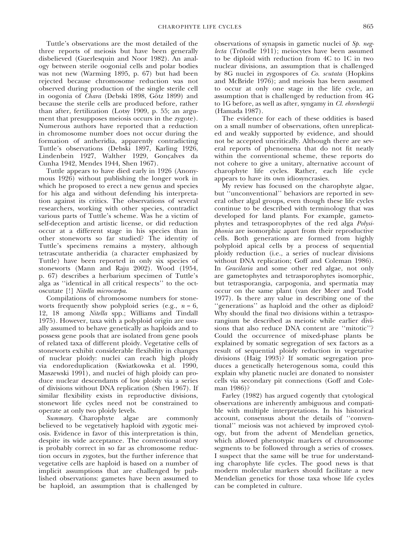Tuttle's observations are the most detailed of the three reports of meiosis but have been generally disbelieved (Guerlesquin and Noor 1982). An analogy between sterile oogonial cells and polar bodies was not new (Warming 1895, p. 67) but had been rejected because chromosome reduction was not observed during production of the single sterile cell in oogonia of Chara (Debski 1898, Götz 1899) and because the sterile cells are produced before, rather than after, fertilization (Lotsy 1909, p. 55; an argument that presupposes meiosis occurs in the zygote). Numerous authors have reported that a reduction in chromosome number does not occur during the formation of antheridia, apparently contradicting Tuttle's observations (Debski 1897, Karling 1926, Lindenbein 1927, Walther 1929, Gonçalves da Cunha 1942, Mendes 1944, Shen 1967).

Tuttle appears to have died early in 1926 (Anonymous 1926) without publishing the longer work in which he proposed to erect a new genus and species for his alga and without defending his interpretation against its critics. The observations of several researchers, working with other species, contradict various parts of Tuttle's scheme. Was he a victim of self-deception and artistic license, or did reduction occur at a different stage in his species than in other stoneworts so far studied? The identity of Tuttle's specimens remains a mystery, although tetrascutate antheridia (a character emphasized by Tuttle) have been reported in only six species of stoneworts (Mann and Raju 2002). Wood (1954, p. 67) describes a herbarium specimen of Tuttle's alga as ''identical in all critical respects'' to the octoscutate [!] Nitella microcarpa.

Compilations of chromosome numbers for stoneworts frequently show polyploid series (e.g.,  $n = 6$ , 12, 18 among Nitella spp.; Williams and Tindall 1975). However, taxa with a polyploid origin are usually assumed to behave genetically as haploids and to possess gene pools that are isolated from gene pools of related taxa of different ploidy. Vegetative cells of stoneworts exhibit considerable flexibility in changes of nuclear ploidy: nuclei can reach high ploidy via endoreduplication (Kwiatkowska et al. 1990, Maszewski 1991), and nuclei of high ploidy can produce nuclear descendants of low ploidy via a series of divisions without DNA replication (Shen 1967). If similar flexibility exists in reproductive divisions, stonewort life cycles need not be constrained to operate at only two ploidy levels.

Summary. Charophyte algae are commonly believed to be vegetatively haploid with zygotic meiosis. Evidence in favor of this interpretation is thin, despite its wide acceptance. The conventional story is probably correct in so far as chromosome reduction occurs in zygotes, but the further inference that vegetative cells are haploid is based on a number of implicit assumptions that are challenged by published observations: gametes have been assumed to be haploid, an assumption that is challenged by observations of synapsis in gametic nuclei of Sp. neglecta (Tröndle 1911); meiocytes have been assumed to be diploid with reduction from 4C to 1C in two nuclear divisions, an assumption that is challenged by 8G nuclei in zygospores of Co. scutata (Hopkins and McBride 1976); and meiosis has been assumed to occur at only one stage in the life cycle, an assumption that is challenged by reduction from 4G to 1G before, as well as after, syngamy in Cl. ehrenbergii (Hamada 1987).

The evidence for each of these oddities is based on a small number of observations, often unreplicated and weakly supported by evidence, and should not be accepted uncritically. Although there are several reports of phenomena that do not fit neatly within the conventional scheme, these reports do not cohere to give a unitary, alternative account of charophyte life cycles. Rather, each life cycle appears to have its own idiosyncrasies.

My review has focused on the charophyte algae, but ''unconventional'' behaviors are reported in several other algal groups, even though these life cycles continue to be described with terminology that was developed for land plants. For example, gametophytes and tetrasporophytes of the red alga Polysiphonia are isomorphic apart from their reproductive cells. Both generations are formed from highly polyploid apical cells by a process of sequential ploidy reduction (i.e., a series of nuclear divisions without DNA replication; Goff and Coleman 1986). In Gracilaria and some other red algae, not only are gametophytes and tetrasporophytes isomorphic, but tetrasporangia, carpogonia, and spermatia may occur on the same plant (van der Meer and Todd 1977). Is there any value in describing one of the ''generations'' as haploid and the other as diploid? Why should the final two divisions within a tetrasporangium be described as meiotic while earlier divisions that also reduce DNA content are ''mitotic''? Could the occurrence of mixed-phase plants be explained by somatic segregation of sex factors as a result of sequential ploidy reduction in vegetative divisions (Haig 1993)? If somatic segregation produces a genetically heterogenous soma, could this explain why planetic nuclei are donated to nonsister cells via secondary pit connections (Goff and Coleman 1986)?

Farley (1982) has argued cogently that cytological observations are inherently ambiguous and compatible with multiple interpretations. In his historical account, consensus about the details of ''conventional'' meiosis was not achieved by improved cytology, but from the advent of Mendelian genetics, which allowed phenotypic markers of chromosome segments to be followed through a series of crosses. I suspect that the same will be true for understanding charophyte life cycles. The good news is that modern molecular markers should facilitate a new Mendelian genetics for those taxa whose life cycles can be completed in culture.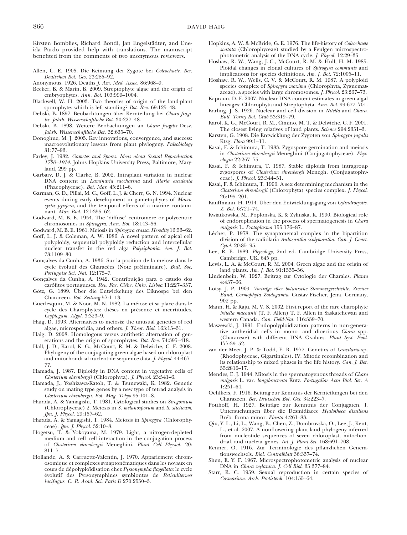Kirsten Bomblies, Richard Bondi, Jan Engelstädter, and Eneida Pardo provided help with translations. The manuscript benefited from the comments of two anonymous reviewers.

- Allen, C. E. 1905. Die Keimung der Zygote bei Coleochaete. Ber. Deutschen Bot. Ges. 23:285–92.
- Anonymous. 1926. Deaths J. Am. Med. Assoc. 86:968–9.
- Becker, B. & Marin, B. 2009. Streptophyte algae and the origin of embryophytes. Ann. Bot. 103:999–1004.
- Blackwell, W. H. 2003. Two theories of origin of the land-plant sporophyte: which is left standing? Bot. Rev. 69:125–48.
- Debski, B. 1897. Beobachtungen über Kernteilung bei Chara fragilis. Jahrb. Wissenschaftliche Bot. 30:227–48.
- Debski, B. 1898. Weitere Beobachtungen an Chara fragilis Desv. Jahrb. Wissenschaftliche Bot. 32:635–70.
- Donoghue, M. J. 2005. Key innovations, convergence, and success: macroevolutionary lessons from plant phylogeny. Paleobiology 31:77–93.
- Farley, J. 1982. Gametes and Spores. Ideas about Sexual Reproduction 1750–1914. Johns Hopkins University Press, Baltimore, Maryland, 299 pp.
- Garbary, D. J. & Clarke, B. 2002. Intraplant variation in nuclear DNA content in Laminaria saccharina and Alaria esculenta (Phaeophyceae). Bot. Mar. 45:211–6.
- Garman, G. D., Pillai, M. C., Goff, L. J. & Cherr, G. N. 1994. Nuclear events during early development in gametophytes of Macrocystis pyrifera, and the temporal effects of a marine contaminant. Mar. Biol. 121:355–62.
- Godward, M. B. E. 1954. The 'diffuse' centromere or polycentric chromosomes in Spirogyra. Ann. Bot. 18:143–56.
- Godward, M. B. E. 1961. Meiosis in Spirogyra crassa. Heredity 16:53–62.
- Goff, L. J. & Coleman, A. W. 1986. A novel pattern of apical cell polyploidy, sequential polyploidy reduction and intercellular nuclear transfer in the red alga Polysiphonia. Am. J. Bot. 73:1109–30.
- Gonçalves da Cunha, A. 1936. Sur la position de la meiose dans le cycle évolutif des Characées (Note préliminaire). Bull. Soc. Portugaise Sci. Nat. 12:175–7.
- Gonçalves da Cunha, A. 1942. Contribuição para o estudo dos carófitos portugueses. Rev. Fac. Ciênc. Univ. Lisboa 11:227-357.
- Götz, G. 1899. Über die Entwickelung des Eiknospe bei den Characeen. Bot. Zeitung 57:1–13.
- Guerlesquin, M. & Noor, M. N. 1982. La méiose et sa place dans le cycle des Charophytes: thèses en présence et incertitudes. Cryptogam. Algol. 3:323–9.
- Haig, D. 1993. Alternatives to meiosis: the unusual genetics of red algae, microsporidia, and others. J. Theor. Biol. 163:15–31.
- Haig, D. 2008. Homologous versus antithetic alternation of generations and the origin of sporophytes. Bot. Rev. 74:395–418.
- Hall, J. D., Karol, K. G., McCourt, R. M. & Delwiche, C. F. 2008. Phylogeny of the conjugating green algae based on chloroplast and mitochondrial nucleotide sequence data. J. Phycol. 44:467– 77.
- Hamada, J. 1987. Diploidy in DNA content in vegetative cells of Closterium ehrenbergii (Chlorophyta). J. Phycol. 23:541–6.
- Hamada, J., Yoshizawa-Katoh, T. & Tsunewaki, K. 1982. Genetic study on mating type genes by a new type of tetrad analysis in Closterium ehrenbergii. Bot. Mag. Tokyo 95:101–8.
- Harada, A. & Yamagishi, T. 1981. Cytological studies on Sirogonium (Chlorophyceae) 2. Meiosis in S. melanosporum and S. sticticum. Jpn. J. Phycol. 29:157–62.
- Harada, A. & Yamagishi, T. 1984. Meiosis in Spirogyra (Chlorophyceae). Jpn. J. Phycol. 32:10–8.
- Hogetsu, T. & Yokoyama, M. 1979. Light, a nitrogen-depleted medium and cell–cell interaction in the conjugation process of Closterium ehrenbergii Meneghini. Plant Cell Physiol. 20: 811–7.
- Hollande, A. & Carruette-Valentin, J. 1970. Appariement chromosomique et complexes synaptonématiques dans les noyaux en cours de dépolyploidisation chez Pyrsonympha flagellata: le cycle évolutif des Pyrsonymphines symbiontes de Reticulitermes lucifugus. C. R. Acad. Sci. Paris D 270:2550–3.
- Hopkins, A. W. & McBride, G. E. 1976. The life-history of Coleochaete scutata (Chlorophyceae) studied by a Feulgen microspectrophotometric analysis of the DNA cycle. J. Phycol. 12:29–35.
- Hoshaw, R. W., Wang, J.-C., McCourt, R. M. & Hull, H. M. 1985. Ploidal changes in clonal cultures of Spirogyra communis and implications for species definitions. Am. J. Bot. 72:1005–11.
- Hoshaw, R. W., Wells, C. V. & McCourt, R. M. 1987. A polyploid species complex of Spirogyra maxima (Chlorophyta, Zygnemataceae), a species with large chromosomes. J. Phycol. 23:267–73.
- Kapraun, D. F. 2007. Nuclear DNA content estimates in green algal lineages: Chlorophyta and Streptophyta. Ann. Bot. 99:677–701.
- Karling, J. S. 1926. Nuclear and cell division in Nitella and Chara. Bull. Torrey Bot. Club 53:319–79.
- Karol, K. G., McCourt, R. M., Cimino, M. T. & Delwiche, C. F. 2001. The closest living relatives of land plants. Science 294:2351–3.
- Karsten, G. 1908. Die Entwicklung der Zygoten von Spirogyra jugalis Ktzg. Flora 99:1–11.
- Kasai, F. & Ichimura, T. 1983. Zygospore germination and meiosis in Closterium ehrenbergii Meneghini (Conjugatophyceae). Phycologia 22:267–75.
- Kasai, F. & Ichimura, T. 1987. Stable diploids from intragroup zygospores of Closterium ehrenbergii Menegh. (Conjugatophyceae). J. Phycol. 23:344–51.
- Kasai, F. & Ichimura, T. 1990. A sex determining mechanism in the Closterium ehrenbergii (Chlorophyta) species complex. J. Phycol. 26:195–201.
- Kauffmann, H. 1914. Über den Entwicklungsgang von Cylindrocystis. Z. Bot. 6:721–74.
- Kwiatkowska, M., Poplonska, K. & Zylinska, K. 1990. Biological role of endoreplication in the process of spermatogenesis in Chara vulgaris L. Protoplasma 155:176–87.
- Lécher, P. 1978. The synaptonemal complex in the bipartition division of the radiolaria Aulacantha scolymantha. Can. J. Genet. Cytol. 20:85–95.
- Lee, R. E. 1989. Phycology, 2nd ed. Cambridge University Press, Cambridge, UK, 645 pp.
- Lewis, L. A. & McCourt, R. M. 2004. Green algae and the origin of land plants. Am. J. Bot. 91:1535–56.
- Lindenbein, W. 1927. Beitrag zur Cytologie der Charales. Planta 4:437–66.
- Lotsy, J. P. 1909. Vorträge uiber botanische Stammesgeschichte. Zweiter Band. Cormophyta Zoidogamia. Gustav Fischer, Jena, Germany, 902 pp.
- Mann, H. & Raju, M. V. S. 2002. First report of the rare charophyte Nitella macounii (T. F. Allen) T. F. Allen in Saskatchewan and western Canada. Can. Field-Nat. 116:559–70.
- Maszewski, J. 1991. Endopolyploidization patterns in non-generative antheridial cells in mono- and dioecious Chara spp. (Characeae) with different DNA C-values. Plant Syst. Evol. 177:39–52.
- van der Meer, J. P. & Todd, E. R. 1977. Genetics of Gracilaria sp. (Rhodophyceae, Gigartinales). IV. Mitotic recombination and its relationship to mixed phases in the life history. Can. J. Bot. 55:2810–17.
- Mendes, E. J. 1944. Mitosis in the spermatogenous threads of Chara vulgaris L. var. longibracteata Kütz. Portugaliae Acta Biol. Sér. A 1:251–64.
- Oehlkers, F. 1916. Beitrag zur Kenntnis der Kernteilungen bei den Charazeen. Ber. Deutschen Bot. Ges. 34:223–7.
- Potthoff, H. 1927. Beiträge zur Kenntnis der Conjugaten. I. Untersuchungen über die Desmidiacee Hyalotheca dissiliens Bréb. forma minor. Planta 4:261-83.
- Qiu, Y.-L., Li, L., Wang, B., Chen, Z., Dombrovska, O., Lee, J., Kent, L., et al. 2007. A nonflowering plant land phylogeny inferred from nucleotide sequences of seven chloroplast, mitochondrial, and nuclear genes. Int. J. Plant Sci. 168:691–708.
- Renner, O. 1916. Zur Terminologie des pflanzlichen Generationswechsels. Biol. Centralblatt 36:337–74.
- Shen, E. Y. F. 1967. Microspectrophotometric analysis of nuclear DNA in Chara zeylanica. J. Cell Biol. 35:377–84.
- Starr, R. C. 1959. Sexual reproduction in certain species of Cosmarium. Arch. Protistenk. 104:155–64.